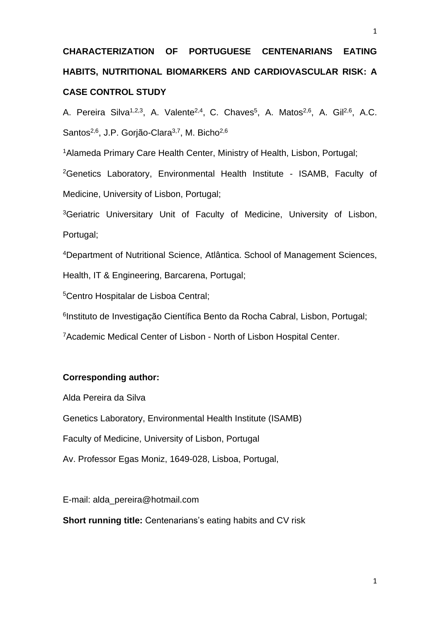# **CHARACTERIZATION OF PORTUGUESE CENTENARIANS EATING HABITS, NUTRITIONAL BIOMARKERS AND CARDIOVASCULAR RISK: A CASE CONTROL STUDY**

A. Pereira Silva<sup>1,2,3</sup>, A. Valente<sup>2,4</sup>, C. Chaves<sup>5</sup>, A. Matos<sup>2,6</sup>, A. Gil<sup>2,6</sup>, A.C. Santos<sup>2,6</sup>, J.P. Gorjão-Clara<sup>3,7</sup>, M. Bicho<sup>2,6</sup>

<sup>1</sup>Alameda Primary Care Health Center, Ministry of Health, Lisbon, Portugal;

<sup>2</sup>Genetics Laboratory, Environmental Health Institute - ISAMB, Faculty of Medicine, University of Lisbon, Portugal;

<sup>3</sup>Geriatric Universitary Unit of Faculty of Medicine, University of Lisbon, Portugal;

<sup>4</sup>Department of Nutritional Science, Atlântica. School of Management Sciences, Health, IT & Engineering, Barcarena, Portugal;

<sup>5</sup>Centro Hospitalar de Lisboa Central;

<sup>6</sup>Instituto de Investigação Científica Bento da Rocha Cabral, Lisbon, Portugal;

<sup>7</sup>Academic Medical Center of Lisbon - North of Lisbon Hospital Center.

# **Corresponding author:**

Alda Pereira da Silva

Genetics Laboratory, Environmental Health Institute (ISAMB)

Faculty of Medicine, University of Lisbon, Portugal

Av. Professor Egas Moniz, 1649-028, Lisboa, Portugal,

E-mail: alda\_pereira@hotmail.com

**Short running title:** Centenarians's eating habits and CV risk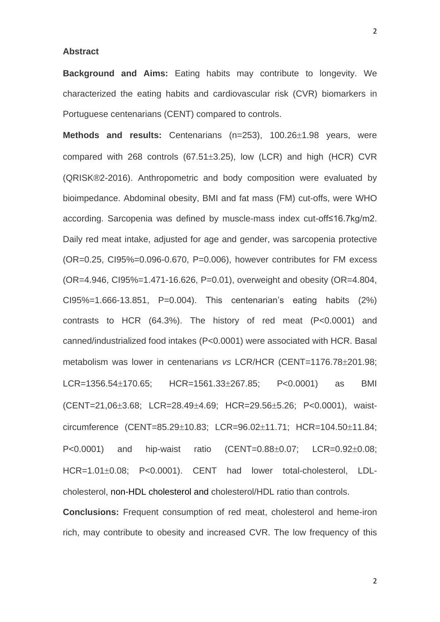#### **Abstract**

**Background and Aims:** Eating habits may contribute to longevity. We characterized the eating habits and cardiovascular risk (CVR) biomarkers in Portuguese centenarians (CENT) compared to controls.

**Methods and results:** Centenarians (n=253), 100.26±1.98 years, were compared with 268 controls (67.51 $\pm$ 3.25), low (LCR) and high (HCR) CVR (QRISK®2-2016). Anthropometric and body composition were evaluated by bioimpedance. Abdominal obesity, BMI and fat mass (FM) cut-offs, were WHO according. Sarcopenia was defined by muscle-mass index cut-off≤16.7kg/m2. Daily red meat intake, adjusted for age and gender, was sarcopenia protective (OR=0.25, CI95%=0.096-0.670, P=0.006), however contributes for FM excess (OR=4.946, CI95%=1.471-16.626, P=0.01), overweight and obesity (OR=4.804, CI95%=1.666-13.851, P=0.004). This centenarian's eating habits (2%) contrasts to HCR (64.3%). The history of red meat (P<0.0001) and canned/industrialized food intakes (P<0.0001) were associated with HCR. Basal metabolism was lower in centenarians *vs* LCR/HCR (CENT=1176.78±201.98;  $LCR = 1356.54 \pm 170.65$ ;  $HCR = 1561.33 \pm 267.85$ ;  $P < 0.0001$ ) as BMI (CENT=21,06±3.68; LCR=28.49±4.69; HCR=29.56±5.26; P<0.0001), waistcircumference (CENT=85.29±10.83; LCR=96.02±11.71; HCR=104.50±11.84;  $P < 0.0001$  and hip-waist ratio (CENT= $0.88 \pm 0.07$ ; LCR= $0.92 \pm 0.08$ ; HCR=1.01±0.08; P<0.0001). CENT had lower total-cholesterol. LDLcholesterol, non-HDL cholesterol and cholesterol/HDL ratio than controls.

**Conclusions:** Frequent consumption of red meat, cholesterol and heme-iron rich, may contribute to obesity and increased CVR. The low frequency of this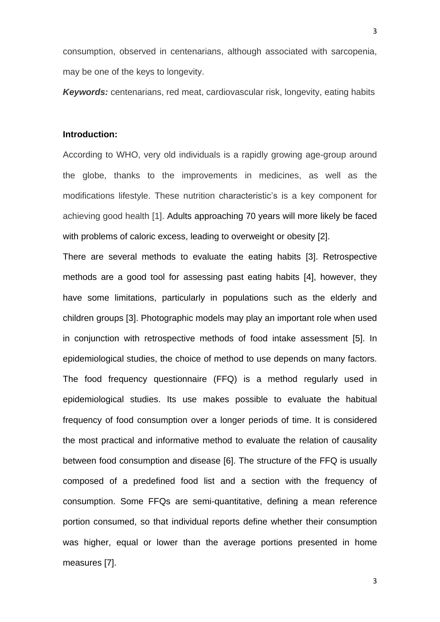consumption, observed in centenarians, although associated with sarcopenia, may be one of the keys to longevity.

*Keywords:* centenarians, red meat, cardiovascular risk, longevity, eating habits

# **Introduction:**

According to WHO, very old individuals is a rapidly growing age-group around the globe, thanks to the improvements in medicines, as well as the modifications lifestyle. These nutrition characteristic's is a key component for achieving good health [1]. Adults approaching 70 years will more likely be faced with problems of caloric excess, leading to overweight or obesity [2].

There are several methods to evaluate the eating habits [3]. Retrospective methods are a good tool for assessing past eating habits [4], however, they have some limitations, particularly in populations such as the elderly and children groups [3]. Photographic models may play an important role when used in conjunction with retrospective methods of food intake assessment [5]. In epidemiological studies, the choice of method to use depends on many factors. The food frequency questionnaire (FFQ) is a method regularly used in epidemiological studies. Its use makes possible to evaluate the habitual frequency of food consumption over a longer periods of time. It is considered the most practical and informative method to evaluate the relation of causality between food consumption and disease [6]. The structure of the FFQ is usually composed of a predefined food list and a section with the frequency of consumption. Some FFQs are semi-quantitative, defining a mean reference portion consumed, so that individual reports define whether their consumption was higher, equal or lower than the average portions presented in home measures [7].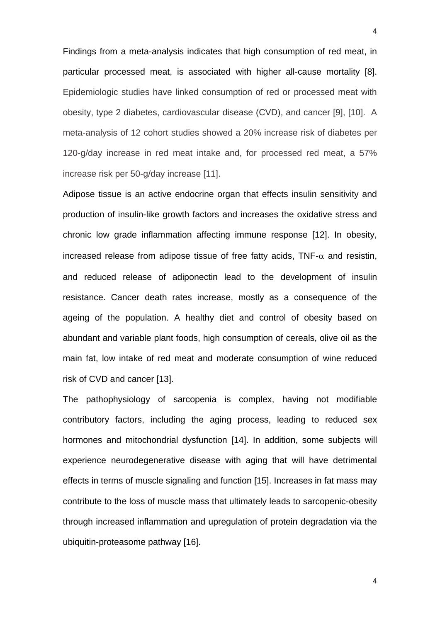Findings from a meta-analysis indicates that high consumption of red meat, in particular processed meat, is associated with higher all-cause mortality [8]. Epidemiologic studies have linked consumption of red or processed meat with obesity, type 2 diabetes, cardiovascular disease (CVD), and cancer [9], [10]. A meta-analysis of 12 cohort studies showed a 20% increase risk of diabetes per 120-g/day increase in red meat intake and, for processed red meat, a 57% increase risk per 50-g/day increase [11].

Adipose tissue is an active endocrine organ that effects insulin sensitivity and production of insulin-like growth factors and increases the oxidative stress and chronic low grade inflammation affecting immune response [12]. In obesity, increased release from adipose tissue of free fatty acids,  $TNF-\alpha$  and resistin, and reduced release of adiponectin lead to the development of insulin resistance. Cancer death rates increase, mostly as a consequence of the ageing of the population. A healthy diet and control of obesity based on abundant and variable plant foods, high consumption of cereals, olive oil as the main fat, low intake of red meat and moderate consumption of wine reduced risk of CVD and cancer [13].

The pathophysiology of sarcopenia is complex, having not modifiable contributory factors, including the aging process, leading to reduced sex hormones and mitochondrial dysfunction [14]. In addition, some subjects will experience neurodegenerative disease with aging that will have detrimental effects in terms of muscle signaling and function [15]. Increases in fat mass may contribute to the loss of muscle mass that ultimately leads to sarcopenic-obesity through increased inflammation and upregulation of protein degradation via the ubiquitin-proteasome pathway [16].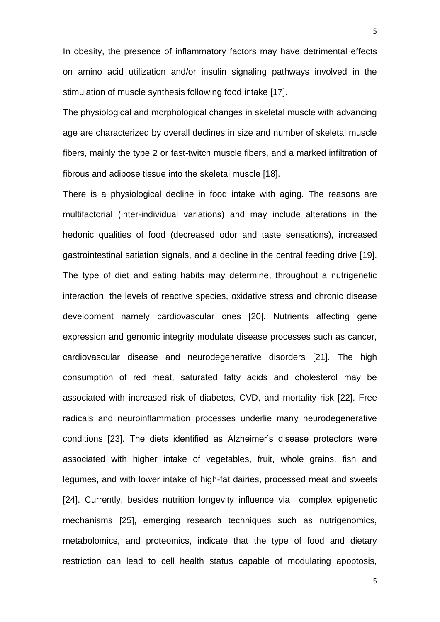In obesity, the presence of inflammatory factors may have detrimental effects on amino acid utilization and/or insulin signaling pathways involved in the stimulation of muscle synthesis following food intake [17].

The physiological and morphological changes in skeletal muscle with advancing age are characterized by overall declines in size and number of skeletal muscle fibers, mainly the type 2 or fast-twitch muscle fibers, and a marked infiltration of fibrous and adipose tissue into the skeletal muscle [18].

There is a physiological decline in food intake with aging. The reasons are multifactorial (inter-individual variations) and may include alterations in the hedonic qualities of food (decreased odor and taste sensations), increased gastrointestinal satiation signals, and a decline in the central feeding drive [19]. The type of diet and eating habits may determine, throughout a nutrigenetic interaction, the levels of reactive species, oxidative stress and chronic disease development namely cardiovascular ones [20]. Nutrients affecting gene expression and genomic integrity modulate disease processes such as cancer, cardiovascular disease and neurodegenerative disorders [21]. The high consumption of red meat, saturated fatty acids and cholesterol may be associated with increased risk of diabetes, CVD, and mortality risk [22]. Free radicals and neuroinflammation processes underlie many neurodegenerative conditions [23]. The diets identified as Alzheimer's disease protectors were associated with higher intake of vegetables, fruit, whole grains, fish and legumes, and with lower intake of high-fat dairies, processed meat and sweets [24]. Currently, besides nutrition longevity influence via complex epigenetic mechanisms [25], emerging research techniques such as nutrigenomics, metabolomics, and proteomics, indicate that the type of food and dietary restriction can lead to cell health status capable of modulating apoptosis,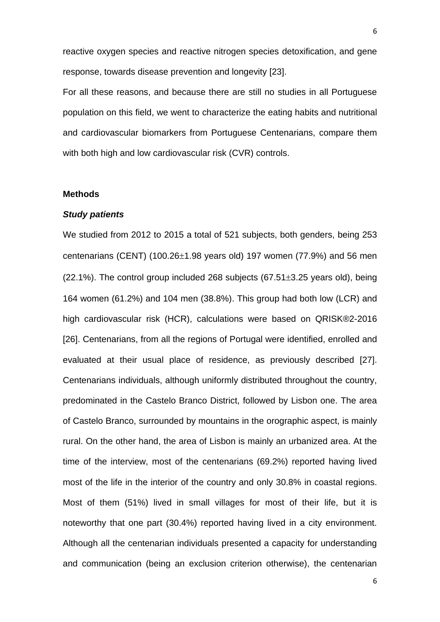reactive oxygen species and reactive nitrogen species detoxification, and gene response, towards disease prevention and longevity [23].

For all these reasons, and because there are still no studies in all Portuguese population on this field, we went to characterize the eating habits and nutritional and cardiovascular biomarkers from Portuguese Centenarians, compare them with both high and low cardiovascular risk (CVR) controls.

### **Methods**

## *Study patients*

We studied from 2012 to 2015 a total of 521 subjects, both genders, being 253 centenarians (CENT) (100.26 $\pm$ 1.98 years old) 197 women (77.9%) and 56 men  $(22.1\%)$ . The control group included 268 subjects  $(67.51\pm3.25$  years old), being 164 women (61.2%) and 104 men (38.8%). This group had both low (LCR) and high cardiovascular risk (HCR), calculations were based on QRISK®2-2016 [26]. Centenarians, from all the regions of Portugal were identified, enrolled and evaluated at their usual place of residence, as previously described [27]. Centenarians individuals, although uniformly distributed throughout the country, predominated in the Castelo Branco District, followed by Lisbon one. The area of Castelo Branco, surrounded by mountains in the orographic aspect, is mainly rural. On the other hand, the area of Lisbon is mainly an urbanized area. At the time of the interview, most of the centenarians (69.2%) reported having lived most of the life in the interior of the country and only 30.8% in coastal regions. Most of them (51%) lived in small villages for most of their life, but it is noteworthy that one part (30.4%) reported having lived in a city environment. Although all the centenarian individuals presented a capacity for understanding and communication (being an exclusion criterion otherwise), the centenarian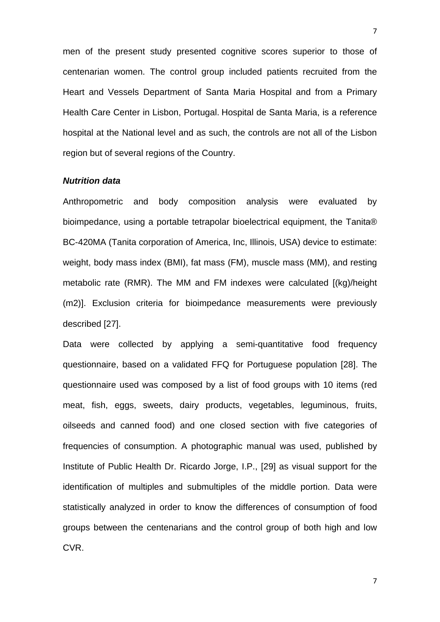men of the present study presented cognitive scores superior to those of centenarian women. The control group included patients recruited from the Heart and Vessels Department of Santa Maria Hospital and from a Primary Health Care Center in Lisbon, Portugal. Hospital de Santa Maria, is a reference hospital at the National level and as such, the controls are not all of the Lisbon region but of several regions of the Country.

#### *Nutrition data*

Anthropometric and body composition analysis were evaluated by bioimpedance, using a portable tetrapolar bioelectrical equipment, the Tanita® BC-420MA (Tanita corporation of America, Inc, Illinois, USA) device to estimate: weight, body mass index (BMI), fat mass (FM), muscle mass (MM), and resting metabolic rate (RMR). The MM and FM indexes were calculated [(kg)/height (m2)]. Exclusion criteria for bioimpedance measurements were previously described [27].

Data were collected by applying a semi-quantitative food frequency questionnaire, based on a validated FFQ for Portuguese population [28]. The questionnaire used was composed by a list of food groups with 10 items (red meat, fish, eggs, sweets, dairy products, vegetables, leguminous, fruits, oilseeds and canned food) and one closed section with five categories of frequencies of consumption. A photographic manual was used, published by Institute of Public Health Dr. Ricardo Jorge, I.P., [29] as visual support for the identification of multiples and submultiples of the middle portion. Data were statistically analyzed in order to know the differences of consumption of food groups between the centenarians and the control group of both high and low CVR.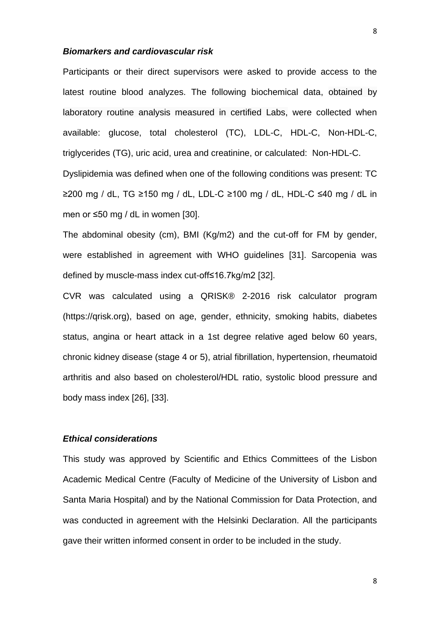#### *Biomarkers and cardiovascular risk*

Participants or their direct supervisors were asked to provide access to the latest routine blood analyzes. The following biochemical data, obtained by laboratory routine analysis measured in certified Labs, were collected when available: glucose, total cholesterol (TC), LDL-C, HDL-C, Non-HDL-C, triglycerides (TG), uric acid, urea and creatinine, or calculated: Non-HDL-C. Dyslipidemia was defined when one of the following conditions was present: TC ≥200 mg / dL, TG ≥150 mg / dL, LDL-C ≥100 mg / dL, HDL-C ≤40 mg / dL in men or ≤50 mg / dL in women [30].

The abdominal obesity (cm), BMI (Kg/m2) and the cut-off for FM by gender, were established in agreement with WHO guidelines [31]. Sarcopenia was defined by muscle-mass index cut-off≤16.7kg/m2 [32].

CVR was calculated using a QRISK® 2-2016 risk calculator program (https://qrisk.org), based on age, gender, ethnicity, smoking habits, diabetes status, angina or heart attack in a 1st degree relative aged below 60 years, chronic kidney disease (stage 4 or 5), atrial fibrillation, hypertension, rheumatoid arthritis and also based on cholesterol/HDL ratio, systolic blood pressure and body mass index [26], [33].

# *Ethical considerations*

This study was approved by Scientific and Ethics Committees of the Lisbon Academic Medical Centre (Faculty of Medicine of the University of Lisbon and Santa Maria Hospital) and by the National Commission for Data Protection, and was conducted in agreement with the Helsinki Declaration. All the participants gave their written informed consent in order to be included in the study.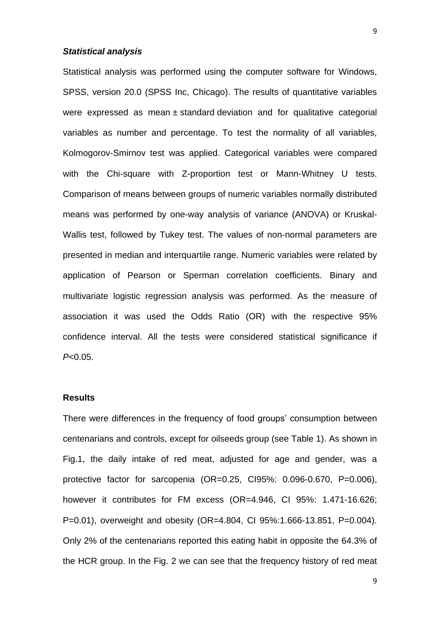#### *Statistical analysis*

Statistical analysis was performed using the computer software for Windows, SPSS, version 20.0 (SPSS Inc, Chicago). The results of quantitative variables were expressed as mean ± standard deviation and for qualitative categorial variables as number and percentage. To test the normality of all variables, Kolmogorov-Smirnov test was applied. Categorical variables were compared with the Chi-square with Z-proportion test or Mann-Whitney U tests. Comparison of means between groups of numeric variables normally distributed means was performed by one-way analysis of variance (ANOVA) or Kruskal-Wallis test, followed by Tukey test. The values of non-normal parameters are presented in median and interquartile range. Numeric variables were related by application of Pearson or Sperman correlation coefficients. Binary and multivariate logistic regression analysis was performed. As the measure of association it was used the Odds Ratio (OR) with the respective 95% confidence interval. All the tests were considered statistical significance if *P*<0.05.

#### **Results**

There were differences in the frequency of food groups' consumption between centenarians and controls, except for oilseeds group (see Table 1). As shown in Fig.1, the daily intake of red meat, adjusted for age and gender, was a protective factor for sarcopenia (OR=0.25, CI95%: 0.096-0.670, P=0.006), however it contributes for FM excess (OR=4.946, CI 95%: 1.471-16.626; P=0.01), overweight and obesity (OR=4.804, CI 95%:1.666-13.851, P=0.004). Only 2% of the centenarians reported this eating habit in opposite the 64.3% of the HCR group. In the Fig. 2 we can see that the frequency history of red meat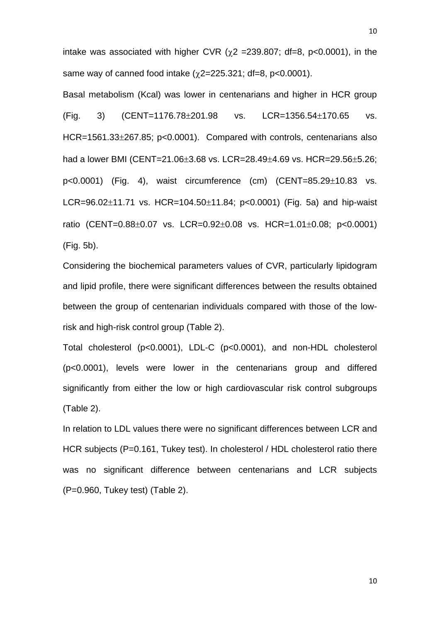intake was associated with higher CVR  $(\chi^2 = 239.807; df = 8, p < 0.0001)$ , in the same way of canned food intake  $(y2=225.321; df=8, p<0.0001)$ .

Basal metabolism (Kcal) was lower in centenarians and higher in HCR group  $(Fiq. 3)$   $(CENT=1176.78\pm201.98$  vs.  $LCR=1356.54\pm170.65$  vs. HCR=1561.33±267.85; p<0.0001). Compared with controls, centenarians also had a lower BMI (CENT=21.06 $\pm$ 3.68 vs. LCR=28.49 $\pm$ 4.69 vs. HCR=29.56 $\pm$ 5.26;  $p<0.0001$ ) (Fig. 4), waist circumference (cm) (CENT=85.29 $\pm$ 10.83 vs.  $LCR = 96.02 \pm 11.71$  vs.  $HCR = 104.50 \pm 11.84$ ;  $p < 0.0001$ ) (Fig. 5a) and hip-waist ratio (CENT= $0.88\pm0.07$  vs. LCR= $0.92\pm0.08$  vs. HCR= $1.01\pm0.08$ ; p<0.0001) (Fig. 5b).

Considering the biochemical parameters values of CVR, particularly lipidogram and lipid profile, there were significant differences between the results obtained between the group of centenarian individuals compared with those of the lowrisk and high-risk control group (Table 2).

Total cholesterol (p<0.0001), LDL-C (p<0.0001), and non-HDL cholesterol (p<0.0001), levels were lower in the centenarians group and differed significantly from either the low or high cardiovascular risk control subgroups (Table 2).

In relation to LDL values there were no significant differences between LCR and HCR subjects (P=0.161, Tukey test). In cholesterol / HDL cholesterol ratio there was no significant difference between centenarians and LCR subjects (P=0.960, Tukey test) (Table 2).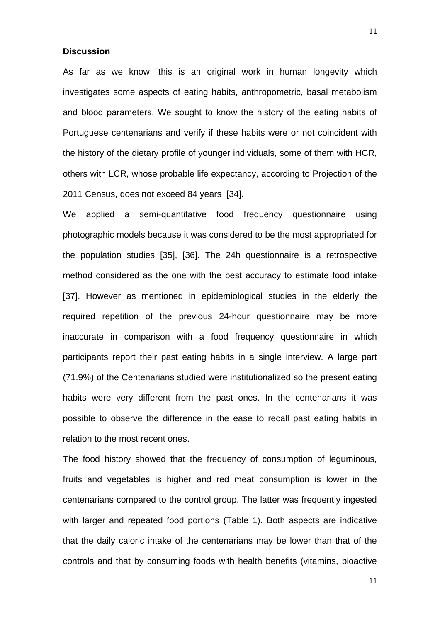#### **Discussion**

As far as we know, this is an original work in human longevity which investigates some aspects of eating habits, anthropometric, basal metabolism and blood parameters. We sought to know the history of the eating habits of Portuguese centenarians and verify if these habits were or not coincident with the history of the dietary profile of younger individuals, some of them with HCR, others with LCR, whose probable life expectancy, according to Projection of the 2011 Census, does not exceed 84 years [34].

We applied a semi-quantitative food frequency questionnaire using photographic models because it was considered to be the most appropriated for the population studies [35], [36]. The 24h questionnaire is a retrospective method considered as the one with the best accuracy to estimate food intake [37]. However as mentioned in epidemiological studies in the elderly the required repetition of the previous 24-hour questionnaire may be more inaccurate in comparison with a food frequency questionnaire in which participants report their past eating habits in a single interview. A large part (71.9%) of the Centenarians studied were institutionalized so the present eating habits were very different from the past ones. In the centenarians it was possible to observe the difference in the ease to recall past eating habits in relation to the most recent ones.

The food history showed that the frequency of consumption of leguminous, fruits and vegetables is higher and red meat consumption is lower in the centenarians compared to the control group. The latter was frequently ingested with larger and repeated food portions (Table 1). Both aspects are indicative that the daily caloric intake of the centenarians may be lower than that of the controls and that by consuming foods with health benefits (vitamins, bioactive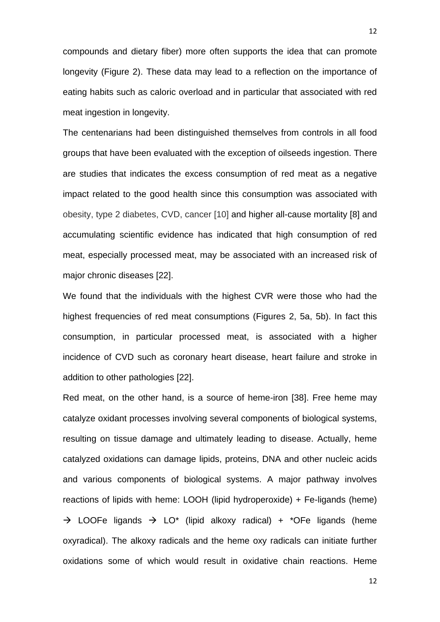compounds and dietary fiber) more often supports the idea that can promote longevity (Figure 2). These data may lead to a reflection on the importance of eating habits such as caloric overload and in particular that associated with red meat ingestion in longevity.

The centenarians had been distinguished themselves from controls in all food groups that have been evaluated with the exception of oilseeds ingestion. There are studies that indicates the excess consumption of red meat as a negative impact related to the good health since this consumption was associated with obesity, type 2 diabetes, CVD, cancer [10] and higher all-cause mortality [8] and accumulating scientific evidence has indicated that high consumption of red meat, especially processed meat, may be associated with an increased risk of major chronic diseases [22].

We found that the individuals with the highest CVR were those who had the highest frequencies of red meat consumptions (Figures 2, 5a, 5b). In fact this consumption, in particular processed meat, is associated with a higher incidence of CVD such as coronary heart disease, heart failure and stroke in addition to other pathologies [22].

Red meat, on the other hand, is a source of heme-iron [38]. Free heme may catalyze oxidant processes involving several components of biological systems, resulting on tissue damage and ultimately leading to disease. Actually, heme catalyzed oxidations can damage lipids, proteins, DNA and other nucleic acids and various components of biological systems. A major pathway involves reactions of lipids with heme: LOOH (lipid hydroperoxide) + Fe-ligands (heme)  $\rightarrow$  LOOFe ligands  $\rightarrow$  LO<sup>\*</sup> (lipid alkoxy radical) + \*OFe ligands (heme oxyradical). The alkoxy radicals and the heme oxy radicals can initiate further oxidations some of which would result in oxidative chain reactions. Heme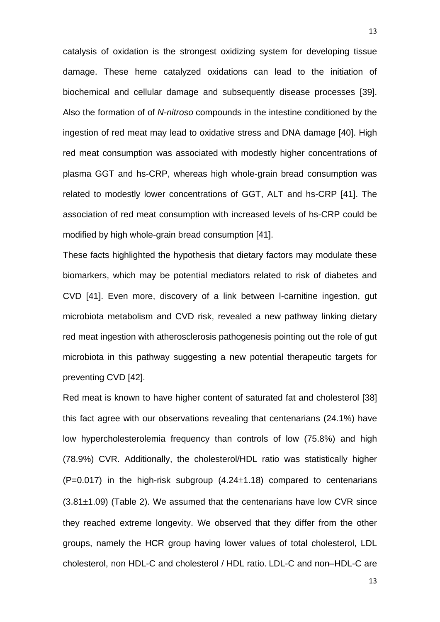catalysis of oxidation is the strongest oxidizing system for developing tissue damage. These heme catalyzed oxidations can lead to the initiation of biochemical and cellular damage and subsequently disease processes [39]. Also the formation of of *N-nitroso* compounds in the intestine conditioned by the ingestion of red meat may lead to oxidative stress and DNA damage [40]. High red meat consumption was associated with modestly higher concentrations of plasma GGT and hs-CRP, whereas high whole-grain bread consumption was related to modestly lower concentrations of GGT, ALT and hs-CRP [41]. The association of red meat consumption with increased levels of hs-CRP could be modified by high whole-grain bread consumption [41].

These facts highlighted the hypothesis that dietary factors may modulate these biomarkers, which may be potential mediators related to risk of diabetes and CVD [41]. Even more, discovery of a link between l-carnitine ingestion, gut microbiota metabolism and CVD risk, revealed a new pathway linking dietary red meat ingestion with atherosclerosis pathogenesis pointing out the role of gut microbiota in this pathway suggesting a new potential therapeutic targets for preventing CVD [42].

Red meat is known to have higher content of saturated fat and cholesterol [38] this fact agree with our observations revealing that centenarians (24.1%) have low hypercholesterolemia frequency than controls of low (75.8%) and high (78.9%) CVR. Additionally, the cholesterol/HDL ratio was statistically higher  $(P=0.017)$  in the high-risk subgroup  $(4.24\pm1.18)$  compared to centenarians  $(3.81\pm1.09)$  (Table 2). We assumed that the centenarians have low CVR since they reached extreme longevity. We observed that they differ from the other groups, namely the HCR group having lower values of total cholesterol, LDL cholesterol, non HDL-C and cholesterol / HDL ratio. LDL-C and non–HDL-C are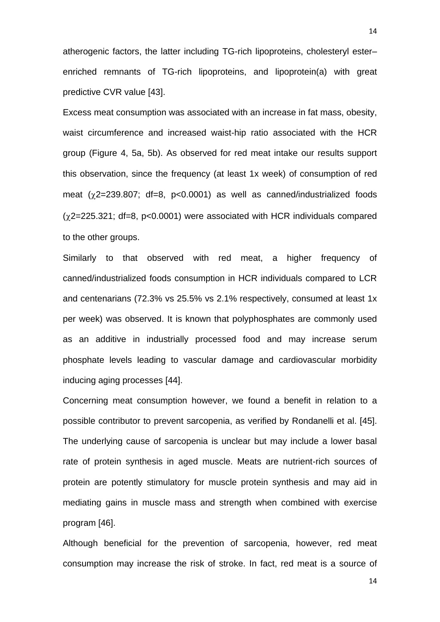atherogenic factors, the latter including TG-rich lipoproteins, cholesteryl ester– enriched remnants of TG-rich lipoproteins, and lipoprotein(a) with great predictive CVR value [43].

Excess meat consumption was associated with an increase in fat mass, obesity, waist circumference and increased waist-hip ratio associated with the HCR group (Figure 4, 5a, 5b). As observed for red meat intake our results support this observation, since the frequency (at least 1x week) of consumption of red meat  $(\chi^2=239.807; df=8, p<0.0001)$  as well as canned/industrialized foods  $(y2=225.321; df=8, p<0.0001)$  were associated with HCR individuals compared to the other groups.

Similarly to that observed with red meat, a higher frequency of canned/industrialized foods consumption in HCR individuals compared to LCR and centenarians (72.3% vs 25.5% vs 2.1% respectively, consumed at least 1x per week) was observed. It is known that polyphosphates are commonly used as an additive in industrially processed food and may increase serum phosphate levels leading to vascular damage and cardiovascular morbidity inducing aging processes [44].

Concerning meat consumption however, we found a benefit in relation to a possible contributor to prevent sarcopenia, as verified by Rondanelli et al. [45]. The underlying cause of sarcopenia is unclear but may include a lower basal rate of protein synthesis in aged muscle. Meats are nutrient-rich sources of protein are potently stimulatory for muscle protein synthesis and may aid in mediating gains in muscle mass and strength when combined with exercise program [46].

Although beneficial for the prevention of sarcopenia, however, red meat consumption may increase the risk of stroke. In fact, red meat is a source of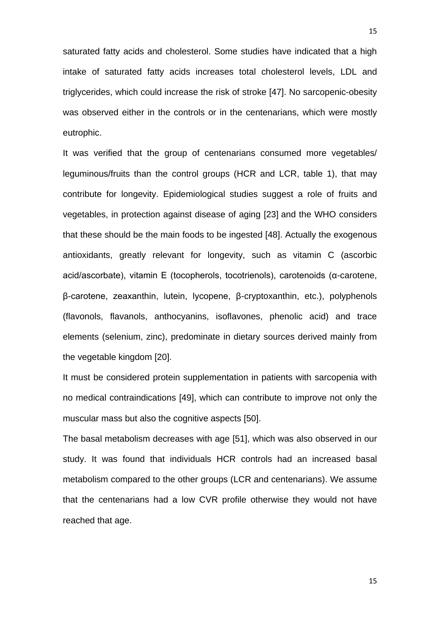saturated fatty acids and cholesterol. Some studies have indicated that a high intake of saturated fatty acids increases total cholesterol levels, LDL and triglycerides, which could increase the risk of stroke [47]. No sarcopenic-obesity was observed either in the controls or in the centenarians, which were mostly eutrophic.

It was verified that the group of centenarians consumed more vegetables/ leguminous/fruits than the control groups (HCR and LCR, table 1), that may contribute for longevity. Epidemiological studies suggest a role of fruits and vegetables, in protection against disease of aging [23] and the WHO considers that these should be the main foods to be ingested [48]. Actually the exogenous antioxidants, greatly relevant for longevity, such as vitamin C (ascorbic acid/ascorbate), vitamin E (tocopherols, tocotrienols), carotenoids (α-carotene, β-carotene, zeaxanthin, lutein, lycopene, β-cryptoxanthin, etc.), polyphenols (flavonols, flavanols, anthocyanins, isoflavones, phenolic acid) and trace elements (selenium, zinc), predominate in dietary sources derived mainly from the vegetable kingdom [20].

It must be considered protein supplementation in patients with sarcopenia with no medical contraindications [49], which can contribute to improve not only the muscular mass but also the cognitive aspects [50].

The basal metabolism decreases with age [51], which was also observed in our study. It was found that individuals HCR controls had an increased basal metabolism compared to the other groups (LCR and centenarians). We assume that the centenarians had a low CVR profile otherwise they would not have reached that age.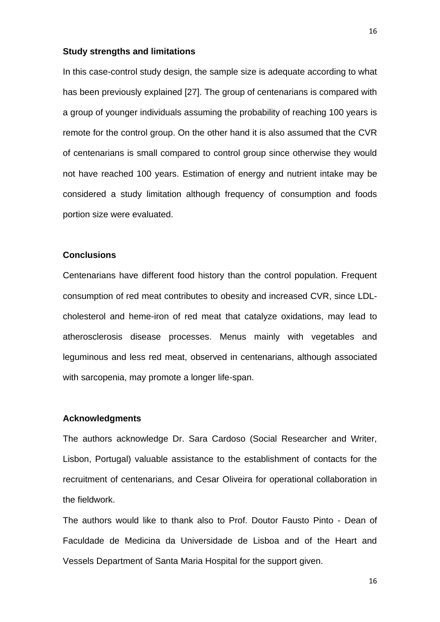#### **Study strengths and limitations**

In this case-control study design, the sample size is adequate according to what has been previously explained [27]. The group of centenarians is compared with a group of younger individuals assuming the probability of reaching 100 years is remote for the control group. On the other hand it is also assumed that the CVR of centenarians is small compared to control group since otherwise they would not have reached 100 years. Estimation of energy and nutrient intake may be considered a study limitation although frequency of consumption and foods portion size were evaluated.

# **Conclusions**

Centenarians have different food history than the control population. Frequent consumption of red meat contributes to obesity and increased CVR, since LDLcholesterol and heme-iron of red meat that catalyze oxidations, may lead to atherosclerosis disease processes. Menus mainly with vegetables and leguminous and less red meat, observed in centenarians, although associated with sarcopenia, may promote a longer life-span.

## **Acknowledgments**

The authors acknowledge Dr. Sara Cardoso (Social Researcher and Writer, Lisbon, Portugal) valuable assistance to the establishment of contacts for the recruitment of centenarians, and Cesar Oliveira for operational collaboration in the fieldwork.

The authors would like to thank also to Prof. Doutor Fausto Pinto - Dean of Faculdade de Medicina da Universidade de Lisboa and of the Heart and Vessels Department of Santa Maria Hospital for the support given.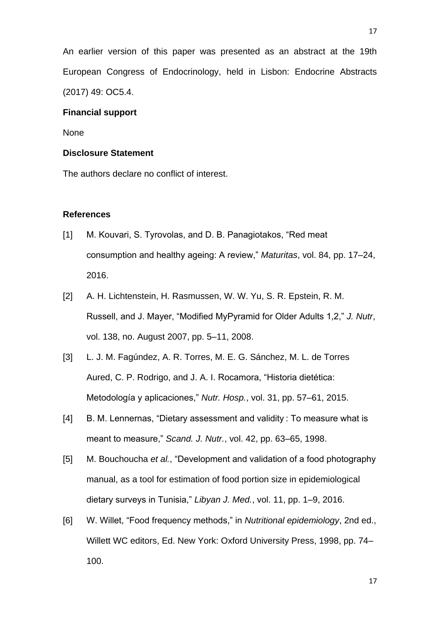An earlier version of this paper was presented as an abstract at the 19th European Congress of Endocrinology, held in Lisbon: Endocrine Abstracts (2017) 49: OC5.4.

# **Financial support**

None

## **Disclosure Statement**

The authors declare no conflict of interest.

# **References**

- [1] M. Kouvari, S. Tyrovolas, and D. B. Panagiotakos, "Red meat consumption and healthy ageing: A review," *Maturitas*, vol. 84, pp. 17–24, 2016.
- [2] A. H. Lichtenstein, H. Rasmussen, W. W. Yu, S. R. Epstein, R. M. Russell, and J. Mayer, "Modified MyPyramid for Older Adults 1,2," *J. Nutr*, vol. 138, no. August 2007, pp. 5–11, 2008.
- [3] L. J. M. Fagúndez, A. R. Torres, M. E. G. Sánchez, M. L. de Torres Aured, C. P. Rodrigo, and J. A. I. Rocamora, "Historia dietética: Metodología y aplicaciones," *Nutr. Hosp.*, vol. 31, pp. 57–61, 2015.
- [4] B. M. Lennernas, "Dietary assessment and validity : To measure what is meant to measure," *Scand. J. Nutr.*, vol. 42, pp. 63–65, 1998.
- [5] M. Bouchoucha *et al.*, "Development and validation of a food photography manual, as a tool for estimation of food portion size in epidemiological dietary surveys in Tunisia," *Libyan J. Med.*, vol. 11, pp. 1–9, 2016.
- [6] W. Willet, "Food frequency methods," in *Nutritional epidemiology*, 2nd ed., Willett WC editors, Ed. New York: Oxford University Press, 1998, pp. 74– 100.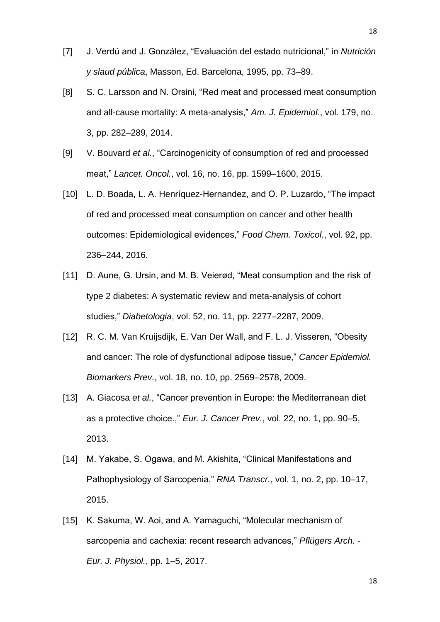- [7] J. Verdú and J. González, "Evaluación del estado nutricional," in *Nutrición y slaud pública*, Masson, Ed. Barcelona, 1995, pp. 73–89.
- [8] S. C. Larsson and N. Orsini, "Red meat and processed meat consumption and all-cause mortality: A meta-analysis," *Am. J. Epidemiol.*, vol. 179, no. 3, pp. 282–289, 2014.
- [9] V. Bouvard *et al.*, "Carcinogenicity of consumption of red and processed meat," *Lancet. Oncol.*, vol. 16, no. 16, pp. 1599–1600, 2015.
- [10] L. D. Boada, L. A. Henríquez-Hernandez, and O. P. Luzardo, "The impact of red and processed meat consumption on cancer and other health outcomes: Epidemiological evidences," *Food Chem. Toxicol.*, vol. 92, pp. 236–244, 2016.
- [11] D. Aune, G. Ursin, and M. B. Veierød, "Meat consumption and the risk of type 2 diabetes: A systematic review and meta-analysis of cohort studies," *Diabetologia*, vol. 52, no. 11, pp. 2277–2287, 2009.
- [12] R. C. M. Van Kruijsdijk, E. Van Der Wall, and F. L. J. Visseren, "Obesity and cancer: The role of dysfunctional adipose tissue," *Cancer Epidemiol. Biomarkers Prev.*, vol. 18, no. 10, pp. 2569–2578, 2009.
- [13] A. Giacosa *et al.*, "Cancer prevention in Europe: the Mediterranean diet as a protective choice.," *Eur. J. Cancer Prev.*, vol. 22, no. 1, pp. 90–5, 2013.
- [14] M. Yakabe, S. Ogawa, and M. Akishita, "Clinical Manifestations and Pathophysiology of Sarcopenia," *RNA Transcr.*, vol. 1, no. 2, pp. 10–17, 2015.
- [15] K. Sakuma, W. Aoi, and A. Yamaguchi, "Molecular mechanism of sarcopenia and cachexia: recent research advances," *Pflügers Arch. - Eur. J. Physiol.*, pp. 1–5, 2017.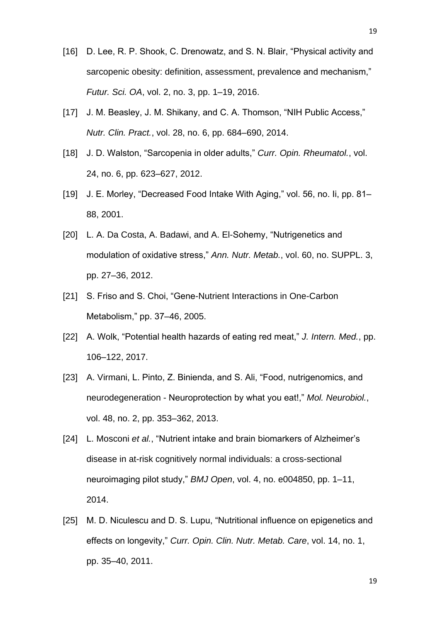- [16] D. Lee, R. P. Shook, C. Drenowatz, and S. N. Blair, "Physical activity and sarcopenic obesity: definition, assessment, prevalence and mechanism," *Futur. Sci. OA*, vol. 2, no. 3, pp. 1–19, 2016.
- [17] J. M. Beasley, J. M. Shikany, and C. A. Thomson, "NIH Public Access," *Nutr. Clin. Pract.*, vol. 28, no. 6, pp. 684–690, 2014.
- [18] J. D. Walston, "Sarcopenia in older adults," *Curr. Opin. Rheumatol.*, vol. 24, no. 6, pp. 623–627, 2012.
- [19] J. E. Morley, "Decreased Food Intake With Aging," vol. 56, no. Ii, pp. 81– 88, 2001.
- [20] L. A. Da Costa, A. Badawi, and A. El-Sohemy, "Nutrigenetics and modulation of oxidative stress," *Ann. Nutr. Metab.*, vol. 60, no. SUPPL. 3, pp. 27–36, 2012.
- [21] S. Friso and S. Choi, "Gene-Nutrient Interactions in One-Carbon Metabolism," pp. 37–46, 2005.
- [22] A. Wolk, "Potential health hazards of eating red meat," *J. Intern. Med.*, pp. 106–122, 2017.
- [23] A. Virmani, L. Pinto, Z. Binienda, and S. Ali, "Food, nutrigenomics, and neurodegeneration - Neuroprotection by what you eat!," *Mol. Neurobiol.*, vol. 48, no. 2, pp. 353–362, 2013.
- [24] L. Mosconi *et al.*, "Nutrient intake and brain biomarkers of Alzheimer's disease in at-risk cognitively normal individuals: a cross-sectional neuroimaging pilot study," *BMJ Open*, vol. 4, no. e004850, pp. 1–11, 2014.
- [25] M. D. Niculescu and D. S. Lupu, "Nutritional influence on epigenetics and effects on longevity," *Curr. Opin. Clin. Nutr. Metab. Care*, vol. 14, no. 1, pp. 35–40, 2011.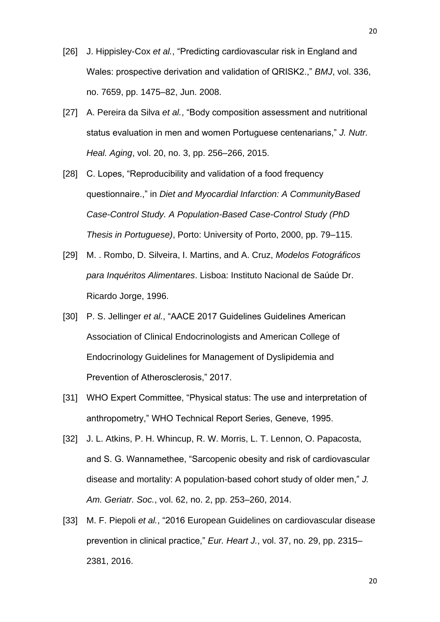- [26] J. Hippisley-Cox *et al.*, "Predicting cardiovascular risk in England and Wales: prospective derivation and validation of QRISK2.," *BMJ*, vol. 336, no. 7659, pp. 1475–82, Jun. 2008.
- [27] A. Pereira da Silva *et al.*, "Body composition assessment and nutritional status evaluation in men and women Portuguese centenarians," *J. Nutr. Heal. Aging*, vol. 20, no. 3, pp. 256–266, 2015.
- [28] C. Lopes, "Reproducibility and validation of a food frequency questionnaire.," in *Diet and Myocardial Infarction: A CommunityBased Case-Control Study. A Population-Based Case-Control Study (PhD Thesis in Portuguese)*, Porto: University of Porto, 2000, pp. 79–115.
- [29] M. . Rombo, D. Silveira, I. Martins, and A. Cruz, *Modelos Fotográficos para Inquéritos Alimentares*. Lisboa: Instituto Nacional de Saúde Dr. Ricardo Jorge, 1996.
- [30] P. S. Jellinger *et al.*, "AACE 2017 Guidelines Guidelines American Association of Clinical Endocrinologists and American College of Endocrinology Guidelines for Management of Dyslipidemia and Prevention of Atherosclerosis," 2017.
- [31] WHO Expert Committee, "Physical status: The use and interpretation of anthropometry," WHO Technical Report Series, Geneve, 1995.
- [32] J. L. Atkins, P. H. Whincup, R. W. Morris, L. T. Lennon, O. Papacosta, and S. G. Wannamethee, "Sarcopenic obesity and risk of cardiovascular disease and mortality: A population-based cohort study of older men," *J. Am. Geriatr. Soc.*, vol. 62, no. 2, pp. 253–260, 2014.
- [33] M. F. Piepoli *et al.*, "2016 European Guidelines on cardiovascular disease prevention in clinical practice," *Eur. Heart J.*, vol. 37, no. 29, pp. 2315– 2381, 2016.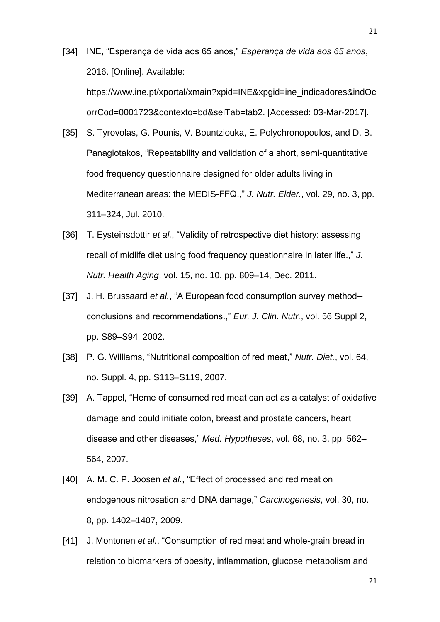- [34] INE, "Esperança de vida aos 65 anos," *Esperança de vida aos 65 anos*, 2016. [Online]. Available: https://www.ine.pt/xportal/xmain?xpid=INE&xpgid=ine\_indicadores&indOc orrCod=0001723&contexto=bd&selTab=tab2. [Accessed: 03-Mar-2017].
- [35] S. Tyrovolas, G. Pounis, V. Bountziouka, E. Polychronopoulos, and D. B. Panagiotakos, "Repeatability and validation of a short, semi-quantitative food frequency questionnaire designed for older adults living in Mediterranean areas: the MEDIS-FFQ.," *J. Nutr. Elder.*, vol. 29, no. 3, pp. 311–324, Jul. 2010.
- [36] T. Eysteinsdottir *et al.*, "Validity of retrospective diet history: assessing recall of midlife diet using food frequency questionnaire in later life.," *J. Nutr. Health Aging*, vol. 15, no. 10, pp. 809–14, Dec. 2011.
- [37] J. H. Brussaard *et al.*, "A European food consumption survey method- conclusions and recommendations.," *Eur. J. Clin. Nutr.*, vol. 56 Suppl 2, pp. S89–S94, 2002.
- [38] P. G. Williams, "Nutritional composition of red meat," *Nutr. Diet.*, vol. 64, no. Suppl. 4, pp. S113–S119, 2007.
- [39] A. Tappel, "Heme of consumed red meat can act as a catalyst of oxidative damage and could initiate colon, breast and prostate cancers, heart disease and other diseases," *Med. Hypotheses*, vol. 68, no. 3, pp. 562– 564, 2007.
- [40] A. M. C. P. Joosen *et al.*, "Effect of processed and red meat on endogenous nitrosation and DNA damage," *Carcinogenesis*, vol. 30, no. 8, pp. 1402–1407, 2009.
- [41] J. Montonen *et al.*, "Consumption of red meat and whole-grain bread in relation to biomarkers of obesity, inflammation, glucose metabolism and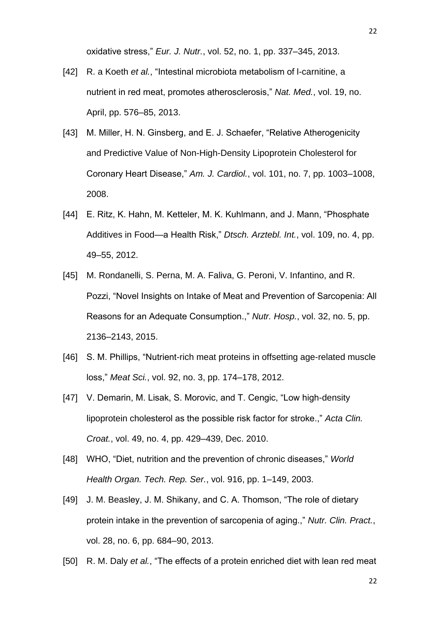oxidative stress," *Eur. J. Nutr.*, vol. 52, no. 1, pp. 337–345, 2013.

- [42] R. a Koeth *et al.*, "Intestinal microbiota metabolism of l-carnitine, a nutrient in red meat, promotes atherosclerosis," *Nat. Med.*, vol. 19, no. April, pp. 576–85, 2013.
- [43] M. Miller, H. N. Ginsberg, and E. J. Schaefer, "Relative Atherogenicity and Predictive Value of Non-High-Density Lipoprotein Cholesterol for Coronary Heart Disease," *Am. J. Cardiol.*, vol. 101, no. 7, pp. 1003–1008, 2008.
- [44] E. Ritz, K. Hahn, M. Ketteler, M. K. Kuhlmann, and J. Mann, "Phosphate Additives in Food—a Health Risk," *Dtsch. Arztebl. Int.*, vol. 109, no. 4, pp. 49–55, 2012.
- [45] M. Rondanelli, S. Perna, M. A. Faliva, G. Peroni, V. Infantino, and R. Pozzi, "Novel Insights on Intake of Meat and Prevention of Sarcopenia: All Reasons for an Adequate Consumption.," *Nutr. Hosp.*, vol. 32, no. 5, pp. 2136–2143, 2015.
- [46] S. M. Phillips, "Nutrient-rich meat proteins in offsetting age-related muscle loss," *Meat Sci.*, vol. 92, no. 3, pp. 174–178, 2012.
- [47] V. Demarin, M. Lisak, S. Morovic, and T. Cengic, "Low high-density lipoprotein cholesterol as the possible risk factor for stroke.," *Acta Clin. Croat.*, vol. 49, no. 4, pp. 429–439, Dec. 2010.
- [48] WHO, "Diet, nutrition and the prevention of chronic diseases," *World Health Organ. Tech. Rep. Ser.*, vol. 916, pp. 1–149, 2003.
- [49] J. M. Beasley, J. M. Shikany, and C. A. Thomson, "The role of dietary protein intake in the prevention of sarcopenia of aging.," *Nutr. Clin. Pract.*, vol. 28, no. 6, pp. 684–90, 2013.
- [50] R. M. Daly *et al.*, "The effects of a protein enriched diet with lean red meat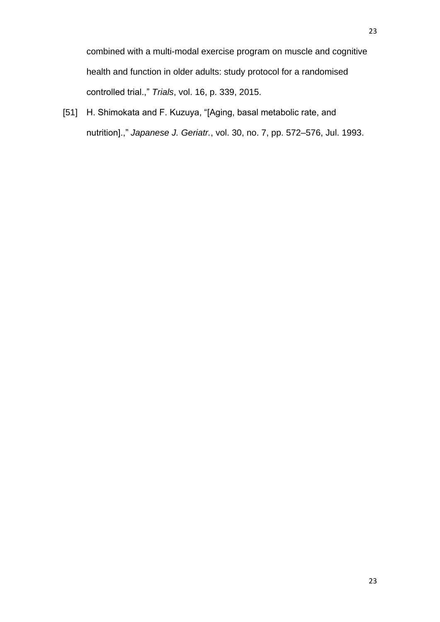[51] H. Shimokata and F. Kuzuya, "[Aging, basal metabolic rate, and nutrition].," *Japanese J. Geriatr.*, vol. 30, no. 7, pp. 572–576, Jul. 1993.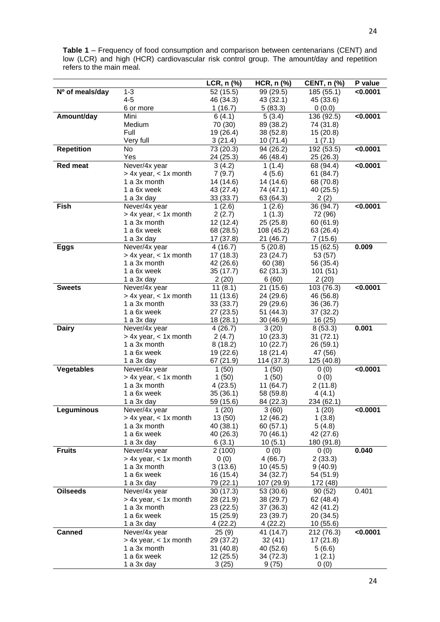**Table 1** – Frequency of food consumption and comparison between centenarians (CENT) and low (LCR) and high (HCR) cardiovascular risk control group. The amount/day and repetition refers to the main meal.

|                   |                           | LCR, n (%) | $HCR, n$ (%) | <b>CENT, n (%)</b> | P value  |
|-------------------|---------------------------|------------|--------------|--------------------|----------|
| Nº of meals/day   | $1 - 3$                   | 52 (15.5)  | 99 (29.5)    | 185 (55.1)         | < 0.0001 |
|                   | $4 - 5$                   | 46 (34.3)  | 43 (32.1)    | 45 (33.6)          |          |
|                   | 6 or more                 | 1(16.7)    | 5(83.3)      | 0(0.0)             |          |
| Amount/day        | Mini                      | 6(4.1)     | 5(3.4)       | 136 (92.5)         | < 0.0001 |
|                   | Medium                    | 70 (30)    | 89 (38.2)    | 74 (31.8)          |          |
|                   | Full                      | 19 (26.4)  | 38 (52.8)    | 15(20.8)           |          |
|                   | Very full                 | 3(21.4)    | 10 (71.4)    | 1(7.1)             |          |
| <b>Repetition</b> | No                        | 73 (20.3)  | 94 (26.2)    | 192 (53.5)         | < 0.0001 |
|                   | Yes                       | 24 (25.3)  | 46 (48.4)    | 25 (26.3)          |          |
| <b>Red meat</b>   | Never/4x year             | 3(4.2)     | 1(1.4)       | 68 (94.4)          | < 0.0001 |
|                   | $> 4x$ year, $< 1x$ month | 7(9.7)     | 4(5.6)       | 61 (84.7)          |          |
|                   | 1 a 3x month              | 14 (14.6)  | 14 (14.6)    | 68 (70.8)          |          |
|                   | 1 a 6x week               | 43 (27.4)  | 74 (47.1)    | 40 (25.5)          |          |
|                   | 1 a 3x day                | 33(33.7)   | 63 (64.3)    | 2(2)               |          |
| Fish              | Never/4x year             | 1(2.6)     |              | 36 (94.7)          | < 0.0001 |
|                   |                           |            | 1(2.6)       |                    |          |
|                   | $> 4x$ year, $< 1x$ month | 2(2.7)     | 1(1.3)       | 72 (96)            |          |
|                   | 1 a 3x month              | 12 (12.4)  | 25(25.8)     | 60 (61.9)          |          |
|                   | 1 a 6x week               | 68 (28.5)  | 108 (45.2)   | 63 (26.4)          |          |
|                   | 1 a 3x day                | 17 (37.8)  | 21 (46.7)    | 7(15.6)            |          |
| <b>Eggs</b>       | Never/4x year             | 4(16.7)    | 5(20.8)      | 15 (62.5)          | 0.009    |
|                   | $> 4x$ year, $< 1x$ month | 17 (18.3)  | 23 (24.7)    | 53 (57)            |          |
|                   | 1 a 3x month              | 42 (26.6)  | 60 (38)      | 56 (35.4)          |          |
|                   | 1 a 6x week               | 35 (17.7)  | 62 (31.3)    | 101(51)            |          |
|                   | 1 a 3x day                | 2(20)      | 6(60)        | 2 (20)             |          |
| <b>Sweets</b>     | Never/4x year             | 11(8.1)    | 21(15.6)     | 103 (76.3)         | < 0.0001 |
|                   | $> 4x$ year, $< 1x$ month | 11 (13.6)  | 24 (29.6)    | 46 (56.8)          |          |
|                   | 1 a 3x month              | 33(33.7)   | 29 (29.6)    | 36 (36.7)          |          |
|                   | 1 a 6x week               | 27 (23.5)  | 51 (44.3)    | 37 (32.2)          |          |
|                   | 1 a 3x day                | 18 (28.1)  | 30(46.9)     | 16 (25)            |          |
| <b>Dairy</b>      | Never/4x year             | 4(26.7)    | 3(20)        | 8(53.3)            | 0.001    |
|                   | $> 4x$ year, $< 1x$ month | 2(4.7)     | 10(23.3)     | 31(72.1)           |          |
|                   | 1 a 3x month              | 8(18.2)    | 10(22.7)     | 26 (59.1)          |          |
|                   | 1 a 6x week               | 19 (22.6)  | 18 (21.4)    | 47 (56)            |          |
|                   | 1 a 3x day                | 67 (21.9)  | 114 (37.3)   | 125 (40.8)         |          |
| <b>Vegetables</b> | Never/4x year             | 1(50)      | 1(50)        | 0(0)               | < 0.0001 |
|                   | $> 4x$ year, $< 1x$ month | 1(50)      | 1(50)        | 0(0)               |          |
|                   | 1 a 3x month              | 4(23.5)    | 11 (64.7)    | 2(11.8)            |          |
|                   | 1 a 6x week               | 35(36.1)   | 58 (59.8)    | 4(4.1)             |          |
|                   | 1 a 3x day                | 59 (15.6)  | 84 (22.3)    | 234 (62.1)         |          |
| eguminous         | Never/4x year             | 1(20)      | 3(60)        | 1(20)              | <0.0001  |
|                   | $> 4x$ year, $< 1x$ month | 13 (50)    | 12 (46.2)    | 1(3.8)             |          |
|                   | 1 a 3x month              | 40 (38.1)  | 60(57.1)     | 5(4.8)             |          |
|                   | 1 a 6x week               | 40 (26.3)  | 70 (46.1)    | 42 (27.6)          |          |
|                   | 1 a 3x day                | 6(3.1)     | 10(5.1)      | 180 (91.8)         |          |
| <b>Fruits</b>     | Never/4x year             | 2(100)     | 0(0)         | 0(0)               | 0.040    |
|                   | $> 4x$ year, $< 1x$ month | 0(0)       | 4(66.7)      | 2(33.3)            |          |
|                   | 1 a 3x month              | 3(13.6)    | 10 (45.5)    | 9(40.9)            |          |
|                   | 1 a 6x week               | 16 (15.4)  | 34 (32.7)    | 54 (51.9)          |          |
|                   | 1 a 3x day                | 79 (22.1)  | 107 (29.9)   | 172 (48)           |          |
| <b>Oilseeds</b>   | Never/4x year             | 30(17.3)   | 53 (30.6)    | 90(52)             | 0.401    |
|                   | $> 4x$ year, $< 1x$ month | 28 (21.9)  | 38 (29.7)    | 62 (48.4)          |          |
|                   | 1 a 3x month              | 23 (22.5)  | 37 (36.3)    | 42 (41.2)          |          |
|                   | 1 a 6x week               | 15 (25.9)  | 23 (39.7)    | 20 (34.5)          |          |
|                   | 1 a 3x day                | 4(22.2)    | 4(22.2)      | 10(55.6)           |          |
| <b>Canned</b>     | Never/4x year             | 25(9)      | 41 (14.7)    | 212 (76.3)         | < 0.0001 |
|                   | $> 4x$ year, $< 1x$ month | 29 (37.2)  | 32(41)       | 17(21.8)           |          |
|                   | 1 a 3x month              | 31(40.8)   | 40 (52.6)    | 5(6.6)             |          |
|                   | 1 a 6x week               | 12(25.5)   | 34 (72.3)    | 1(2.1)             |          |
|                   | 1 a 3x day                | 3(25)      | 9(75)        | 0(0)               |          |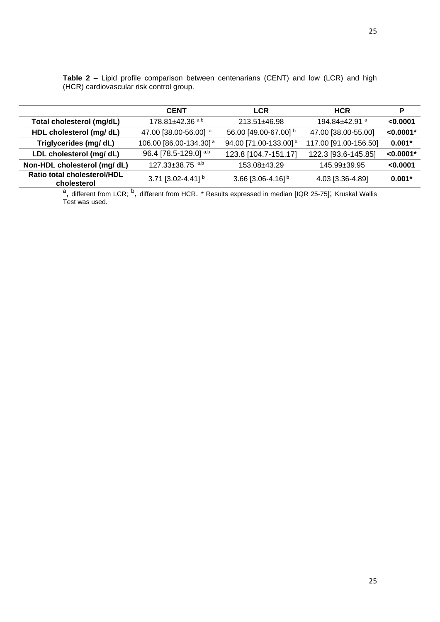|                                            | <b>CENT</b>                        | <b>LCR</b>                        | <b>HCR</b>             | P           |
|--------------------------------------------|------------------------------------|-----------------------------------|------------------------|-------------|
| Total cholesterol (mg/dL)                  | 178.81±42.36 a,b                   | 213.51±46.98                      | 194.84 $\pm$ 42.91 $a$ | 0.0001      |
| HDL cholesterol (mg/ dL)                   | 47.00 [38.00-56.00] <sup>a</sup>   | 56.00 [49.00-67.00] b             | 47.00 [38.00-55.00]    | $< 0.0001*$ |
| Triglycerides (mg/ dL)                     | 106.00 [86.00-134.30] <sup>a</sup> | 94.00 [71.00-133.00] <sup>b</sup> | 117.00 [91.00-156.50]  | $0.001*$    |
| LDL cholesterol (mg/ dL)                   | 96.4 [78.5-129.0] a,b              | 123.8 [104.7-151.17]              | 122.3 [93.6-145.85]    | $< 0.0001*$ |
| Non-HDL cholesterol (mg/ dL)               | 127.33±38.75 a,b                   | 153.08±43.29                      | $145.99 \pm 39.95$     | < 0.0001    |
| Ratio total cholesterol/HDL<br>cholesterol | 3.71 [3.02-4.41] b                 | 3.66 [3.06-4.16] <sup>b</sup>     | 4.03 [3.36-4.89]       | $0.001*$    |
|                                            |                                    |                                   |                        |             |

|                                          |  |  |  |  | <b>Table 2</b> – Lipid profile comparison between centenarians (CENT) and low (LCR) and high |  |  |  |  |  |
|------------------------------------------|--|--|--|--|----------------------------------------------------------------------------------------------|--|--|--|--|--|
| (HCR) cardiovascular risk control group. |  |  |  |  |                                                                                              |  |  |  |  |  |

<sup>a</sup>, different from LCR; <sup>b</sup>, different from HCR. \* Results expressed in median [IQR 25-75]; Kruskal Wallis Test was used.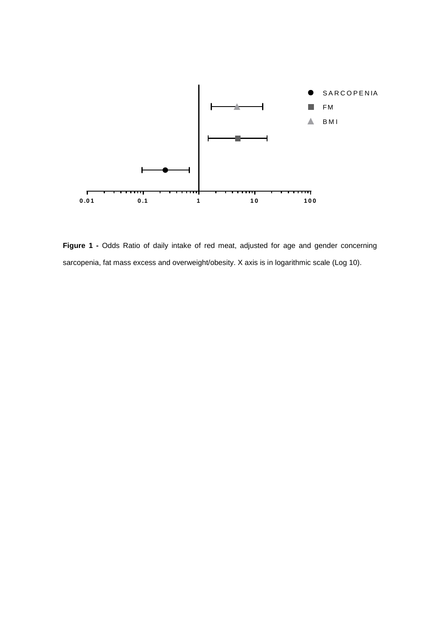

**Figure 1 -** Odds Ratio of daily intake of red meat, adjusted for age and gender concerning sarcopenia, fat mass excess and overweight/obesity. X axis is in logarithmic scale (Log 10).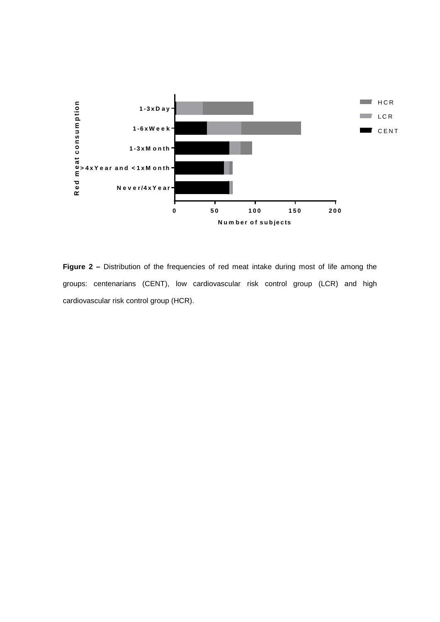

**Figure 2 –** Distribution of the frequencies of red meat intake during most of life among the groups: centenarians (CENT), low cardiovascular risk control group (LCR) and high cardiovascular risk control group (HCR).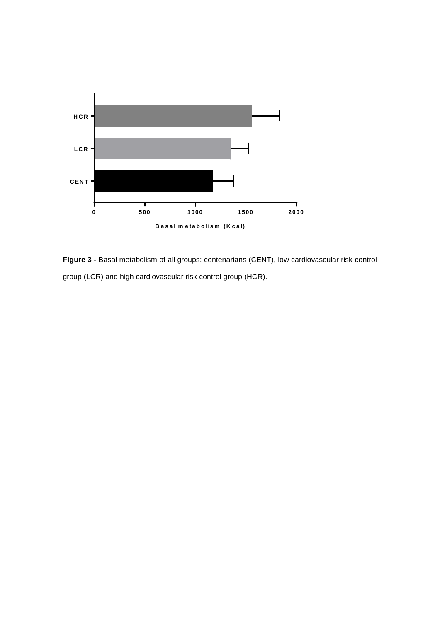

**Figure 3 -** Basal metabolism of all groups: centenarians (CENT), low cardiovascular risk control group (LCR) and high cardiovascular risk control group (HCR).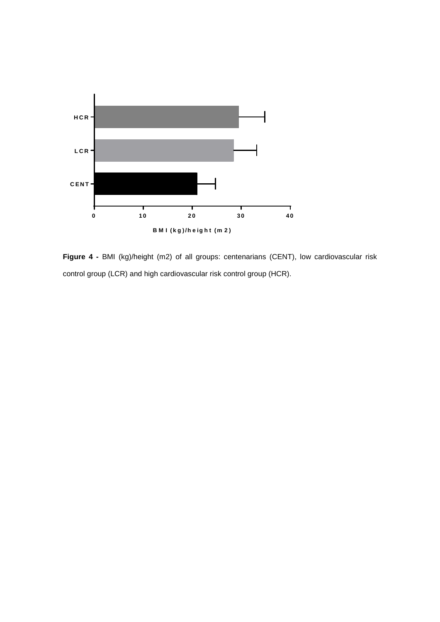

**Figure 4 -** BMI (kg)/height (m2) of all groups: centenarians (CENT), low cardiovascular risk control group (LCR) and high cardiovascular risk control group (HCR).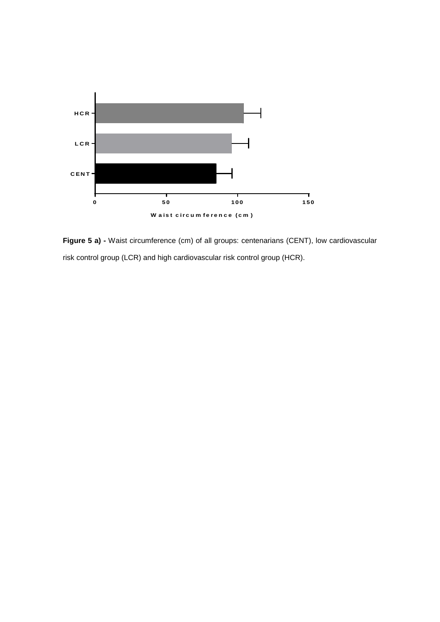

**Figure 5 a) -** Waist circumference (cm) of all groups: centenarians (CENT), low cardiovascular risk control group (LCR) and high cardiovascular risk control group (HCR).